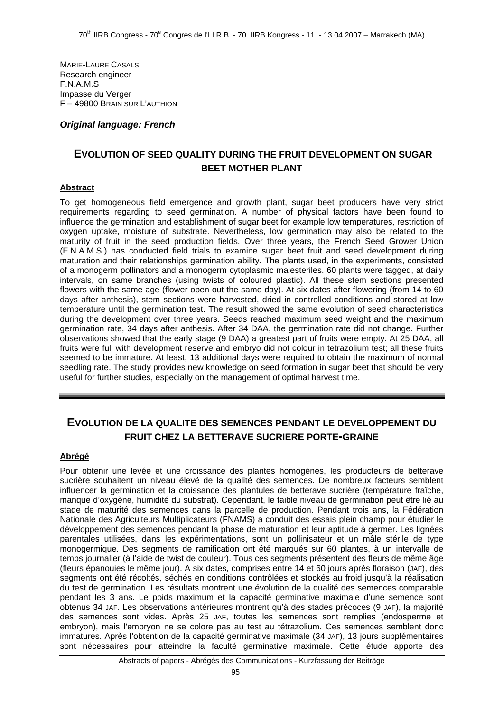MARIE-LAURE CASALS Research engineer F.N.A.M.S Impasse du Verger F – 49800 BRAIN SUR L'AUTHION

#### *Original language: French*

## **EVOLUTION OF SEED QUALITY DURING THE FRUIT DEVELOPMENT ON SUGAR BEET MOTHER PLANT**

#### **Abstract**

To get homogeneous field emergence and growth plant, sugar beet producers have very strict requirements regarding to seed germination. A number of physical factors have been found to influence the germination and establishment of sugar beet for example low temperatures, restriction of oxygen uptake, moisture of substrate. Nevertheless, low germination may also be related to the maturity of fruit in the seed production fields. Over three years, the French Seed Grower Union (F.N.A.M.S.) has conducted field trials to examine sugar beet fruit and seed development during maturation and their relationships germination ability. The plants used, in the experiments, consisted of a monogerm pollinators and a monogerm cytoplasmic malesteriles. 60 plants were tagged, at daily intervals, on same branches (using twists of coloured plastic). All these stem sections presented flowers with the same age (flower open out the same day). At six dates after flowering (from 14 to 60 days after anthesis), stem sections were harvested, dried in controlled conditions and stored at low temperature until the germination test. The result showed the same evolution of seed characteristics during the development over three years. Seeds reached maximum seed weight and the maximum germination rate, 34 days after anthesis. After 34 DAA, the germination rate did not change. Further observations showed that the early stage (9 DAA) a greatest part of fruits were empty. At 25 DAA, all fruits were full with development reserve and embryo did not colour in tetrazolium test; all these fruits seemed to be immature. At least, 13 additional days were required to obtain the maximum of normal seedling rate. The study provides new knowledge on seed formation in sugar beet that should be very useful for further studies, especially on the management of optimal harvest time.

# **EVOLUTION DE LA QUALITE DES SEMENCES PENDANT LE DEVELOPPEMENT DU FRUIT CHEZ LA BETTERAVE SUCRIERE PORTE-GRAINE**

#### **Abrégé**

Pour obtenir une levée et une croissance des plantes homogènes, les producteurs de betterave sucrière souhaitent un niveau élevé de la qualité des semences. De nombreux facteurs semblent influencer la germination et la croissance des plantules de betterave sucrière (température fraîche, manque d'oxygène, humidité du substrat). Cependant, le faible niveau de germination peut être lié au stade de maturité des semences dans la parcelle de production. Pendant trois ans, la Fédération Nationale des Agriculteurs Multiplicateurs (FNAMS) a conduit des essais plein champ pour étudier le développement des semences pendant la phase de maturation et leur aptitude à germer. Les lignées parentales utilisées, dans les expérimentations, sont un pollinisateur et un mâle stérile de type monogermique. Des segments de ramification ont été marqués sur 60 plantes, à un intervalle de temps journalier (à l'aide de twist de couleur). Tous ces segments présentent des fleurs de même âge (fleurs épanouies le même jour). A six dates, comprises entre 14 et 60 jours après floraison (JAF), des segments ont été récoltés, séchés en conditions contrôlées et stockés au froid jusqu'à la réalisation du test de germination. Les résultats montrent une évolution de la qualité des semences comparable pendant les 3 ans. Le poids maximum et la capacité germinative maximale d'une semence sont obtenus 34 JAF. Les observations antérieures montrent qu'à des stades précoces (9 JAF), la majorité des semences sont vides. Après 25 JAF, toutes les semences sont remplies (endosperme et embryon), mais l'embryon ne se colore pas au test au tétrazolium. Ces semences semblent donc immatures. Après l'obtention de la capacité germinative maximale (34 JAF), 13 jours supplémentaires sont nécessaires pour atteindre la faculté germinative maximale. Cette étude apporte des